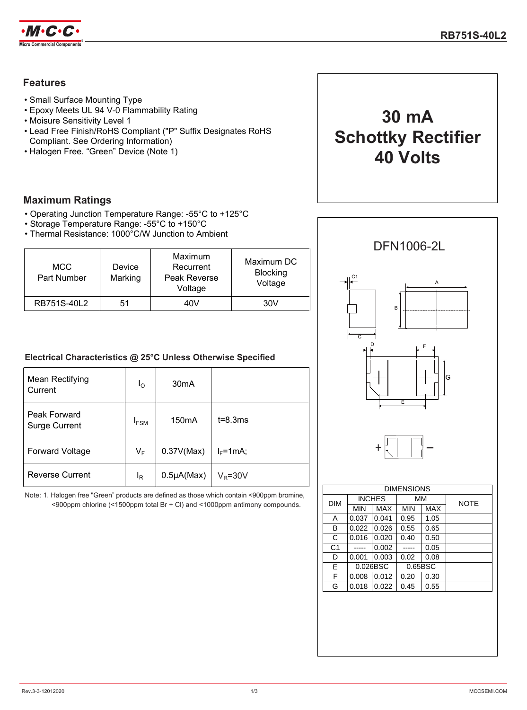

## **Features**

- Small Surface Mounting Type
- Epoxy Meets UL 94 V-0 Flammability Rating
- Moisure Sensitivity Level 1
- Lead Free Finish/RoHS Compliant ("P" Suffix Designates RoHS Compliant. See Ordering Information)
- Halogen Free. "Green" Device (Note 1)

### **Maximum Ratings**

- Operating Junction Temperature Range: -55°C to +125°C
- Storage Temperature Range: -55°C to +150°C
- Thermal Resistance: 1000°C/W Junction to Ambient

| <b>MCC</b><br>Part Number | Device<br>Marking | Maximum<br>Recurrent<br>Peak Reverse<br>Voltage | Maximum DC<br><b>Blocking</b><br>Voltage |
|---------------------------|-------------------|-------------------------------------------------|------------------------------------------|
| RB751S-40L2               | 51                | 40V                                             | 30V                                      |

### **Electrical Characteristics @ 25°C Unless Otherwise Specified**

| Mean Rectifying<br>Current           | $I_{\odot}$ | 30 <sub>m</sub> A  |              |
|--------------------------------------|-------------|--------------------|--------------|
| Peak Forward<br><b>Surge Current</b> | <b>IFSM</b> | 150 <sub>m</sub> A | $t = 8.3ms$  |
| <b>Forward Voltage</b>               | $V_F$       | 0.37V(Max)         | $I_F = 1mA;$ |
| <b>Reverse Current</b>               | ΙŖ          | $0.5\mu A(Max)$    | $V_R = 30V$  |

Note: 1. Halogen free "Green" products are defined as those which contain <900ppm bromine, <900ppm chlorine (<1500ppm total Br + Cl) and <1000ppm antimony compounds.



**30 mA**

**Schottky Rectifier**

**40 Volts**

| <b>DIM</b>     | <b>INCHES</b> |       | <b>MM</b>  |      | <b>NOTE</b> |
|----------------|---------------|-------|------------|------|-------------|
|                | MIN           | MAX   | <b>MIN</b> | MAX  |             |
| Α              | 0.037         | 0.041 | 0.95       | 1.05 |             |
| в              | 0.022         | 0.026 | 0.55       | 0.65 |             |
| C              | 0.016         | 0.020 | 0.40       | 0.50 |             |
| C <sub>1</sub> |               | 0.002 |            | 0.05 |             |
| D              | 0.001         | 0.003 | 0.02       | 0.08 |             |
| E              | 0.026BSC      |       | 0.65BSC    |      |             |
| F              | 0.008         | 0.012 | 0.20       | 0.30 |             |
| G              | 0.018         | 0.022 | 0.45       | 0.55 |             |
|                |               |       |            |      |             |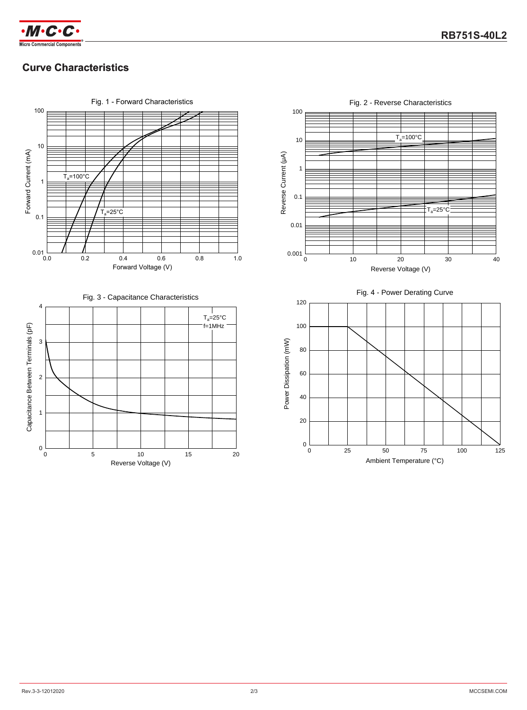



# **Curve Characteristics**



100  $T_a = 100^\circ C$ 10 Reverse Current (µA) Reverse Current (μA) 1 0.1  $T_a = 25^\circ \circ$ 0.01 0.001 20 0 10 20 30 40 Reverse Voltage (V) Fig. 4 - Power Derating Curve120 100 Power Dissipation (mW) Power Dissipation (mW) 80 60 40 20  $0\frac{1}{0}$ 50 75 0 25 50 75 100 125 Ambient Temperature (°C)

Fig. 2 - Reverse Characteristics